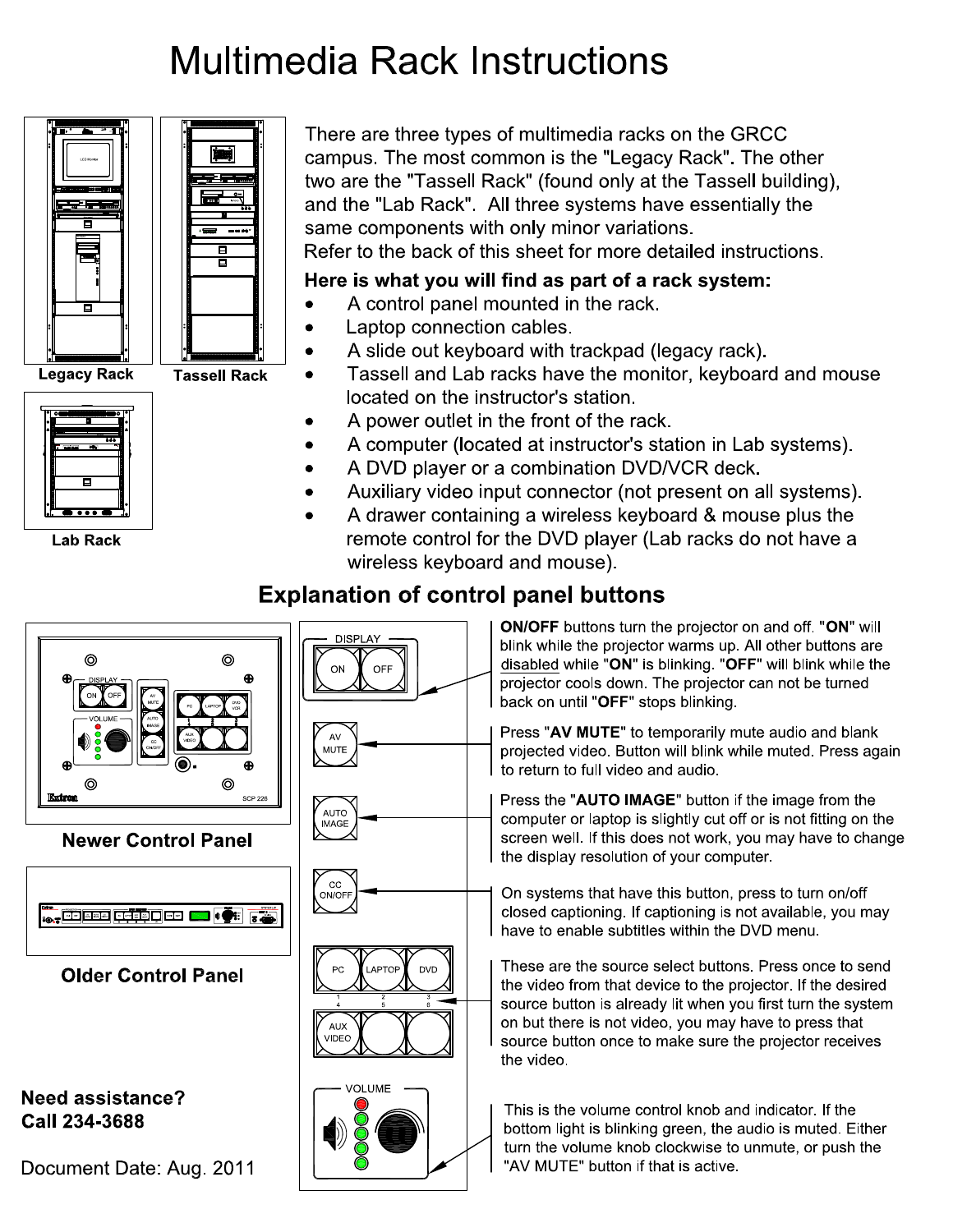## **Multimedia Rack Instructions**





**Legacy Rack** 

**Lab Rack** 

**Tassell Rack** 

There are three types of multimedia racks on the GRCC campus. The most common is the "Legacy Rack". The other two are the "Tassell Rack" (found only at the Tassell building), and the "Lab Rack". All three systems have essentially the same components with only minor variations. Refer to the back of this sheet for more detailed instructions.

## Here is what you will find as part of a rack system:

- A control panel mounted in the rack.  $\bullet$
- Laptop connection cables.
- A slide out keyboard with trackpad (legacy rack).
- Tassell and Lab racks have the monitor, keyboard and mouse  $\bullet$ located on the instructor's station.
- A power outlet in the front of the rack.
- A computer (located at instructor's station in Lab systems).
- A DVD player or a combination DVD/VCR deck.
- Auxiliary video input connector (not present on all systems).
- A drawer containing a wireless keyboard & mouse plus the remote control for the DVD player (Lab racks do not have a wireless keyboard and mouse).

## **Explanation of control panel buttons**



Need assistance? Call 234-3688

Document Date: Aug. 2011



ON/OFF buttons turn the projector on and off. "ON" will blink while the projector warms up. All other buttons are disabled while "ON" is blinking. "OFF" will blink while the projector cools down. The projector can not be turned back on until "OFF" stops blinking.

Press "AV MUTE" to temporarily mute audio and blank projected video. Button will blink while muted. Press again to return to full video and audio.

Press the "AUTO IMAGE" button if the image from the computer or laptop is slightly cut off or is not fitting on the screen well. If this does not work, you may have to change the display resolution of your computer.

On systems that have this button, press to turn on/off closed captioning. If captioning is not available, you may have to enable subtitles within the DVD menu.

These are the source select buttons. Press once to send the video from that device to the projector. If the desired source button is already lit when you first turn the system on but there is not video, you may have to press that source button once to make sure the projector receives the video

This is the volume control knob and indicator. If the bottom light is blinking green, the audio is muted. Either turn the volume knob clockwise to unmute, or push the "AV MUTE" button if that is active.